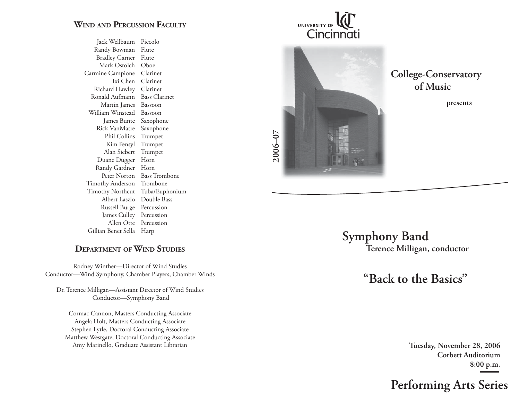## **WIND AND PERCUSSION FACULTY**

Jack Wellbaum Piccolo Randy Bowman Flute Bradley Garner Flute Mark Ostoich Oboe Carmine Campione Clarinet Ixi Chen Clarinet Richard Hawley Clarinet Ronald Aufmann Bass Clarinet Martin James Bassoon William Winstead Bassoon James Bunte Saxophone Rick VanMatre Saxophone Phil Collins Trumpet Kim Pensyl Trumpet Alan Siebert Trumpet Duane Dugger Horn Randy Gardner Horn Peter Norton Bass Trombone Timothy Anderson Trombone Timothy Northcut Tuba/Euphonium Albert Laszlo Double Bass Russell Burge Percussion James Culley Percussion Allen Otte Percussion Gillian Benet Sella Harp

UNIVERSITY OF Cincinnati

**College-Conservatory of Music presents**

**2006–07**

## **DEPARTMENT OF WIND STUDIES**

Rodney Winther—Director of Wind Studies Conductor—Wind Symphony, Chamber Players, Chamber Winds

Dr. Terence Milligan—Assistant Director of Wind Studies Conductor—Symphony Band

Cormac Cannon, Masters Conducting Associate Angela Holt, Masters Conducting Associate Stephen Lytle, Doctoral Conducting Associate Matthew Westgate, Doctoral Conducting Associate Amy Marinello, Graduate Assistant Librarian

 **Symphony Band Terence Milligan, conductor**

 **"Back to the Basics"**

**Tuesday, November 28, 2006 Corbett Auditorium8:00 p.m.**

# **Performing Arts Series**